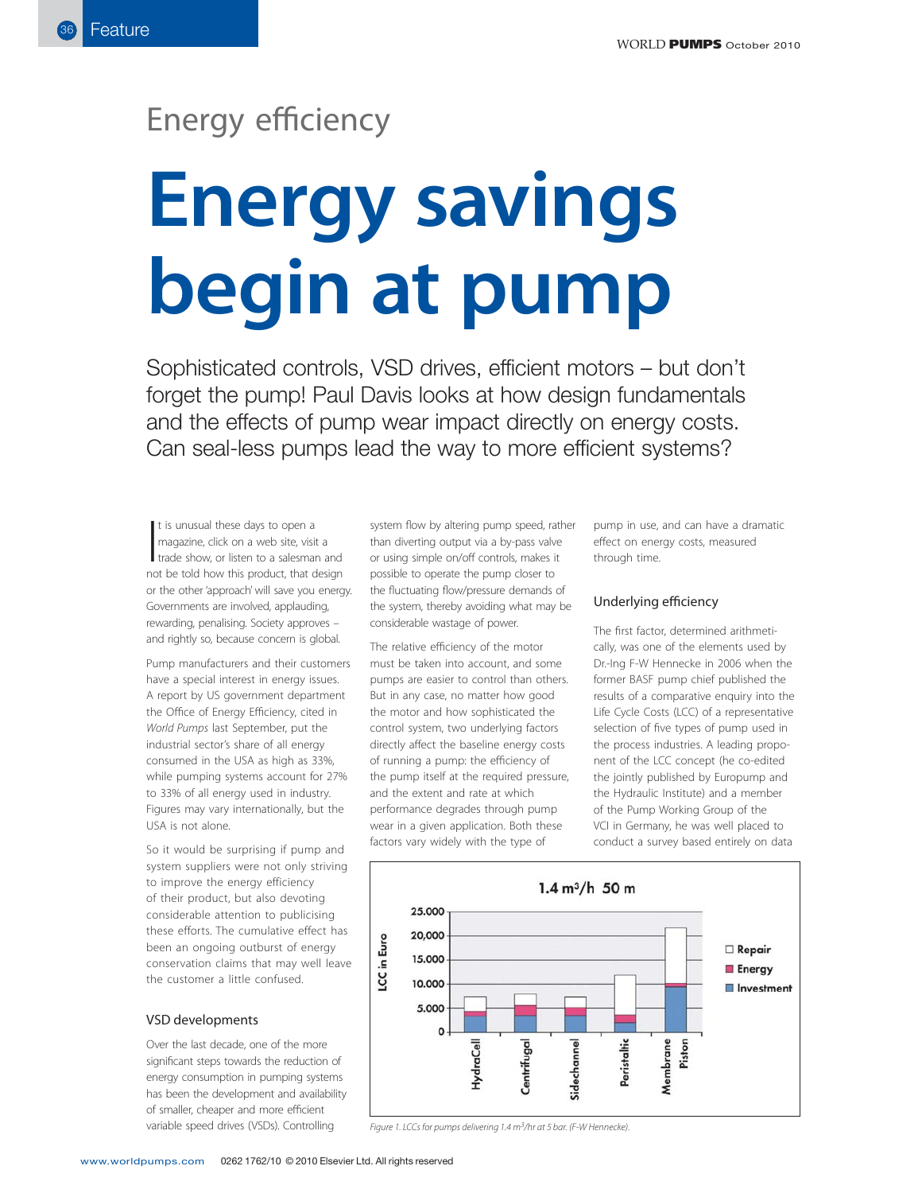# Energy efficiency

# **Energy savings**

**begin at the sumple of the sum of the sum of the sum of Paul Davis looks at how design fundal** Sophisticated controls, VSD drives, efficient motors – but don't forget the pump! Paul Davis looks at how design fundamentals and the effects of pump wear impact directly on energy costs. Can seal-less pumps lead the way to more efficient systems?

It is unusual these days to open a<br>magazine, click on a web site, visit a<br>trade show, or listen to a salesman and<br>not be told how this product, that design t is unusual these days to open a magazine, click on a web site, visit a trade show, or listen to a salesman and or the other 'approach' will save you energy. Governments are involved, applauding, rewarding, penalising. Society approves – and rightly so, because concern is global.

Pump manufacturers and their customers have a special interest in energy issues. A report by US government department the Office of Energy Efficiency, cited in World Pumps last September, put the industrial sector's share of all energy consumed in the USA as high as 33%, while pumping systems account for 27% to 33% of all energy used in industry. Figures may vary internationally, but the USA is not alone.

So it would be surprising if pump and system suppliers were not only striving to improve the energy efficiency of their product, but also devoting considerable attention to publicising these efforts. The cumulative effect has been an ongoing outburst of energy conservation claims that may well leave the customer a little confused.

# VSD developments

Over the last decade, one of the more significant steps towards the reduction of energy consumption in pumping systems has been the development and availability of smaller, cheaper and more efficient variable speed drives (VSDs). Controlling

system flow by altering pump speed, rather than diverting output via a by-pass valve or using simple on/off controls, makes it possible to operate the pump closer to the fluctuating flow/pressure demands of the system, thereby avoiding what may be considerable wastage of power.

The relative efficiency of the motor must be taken into account, and some pumps are easier to control than others. But in any case, no matter how good the motor and how sophisticated the control system, two underlying factors directly affect the baseline energy costs of running a pump: the efficiency of the pump itself at the required pressure, and the extent and rate at which performance degrades through pump wear in a given application. Both these factors vary widely with the type of

pump in use, and can have a dramatic effect on energy costs, measured through time.

# Underlying efficiency

The first factor, determined arithmetically, was one of the elements used by Dr.-Ing F-W Hennecke in 2006 when the former BASF pump chief published the results of a comparative enquiry into the Life Cycle Costs (LCC) of a representative selection of five types of pump used in the process industries. A leading proponent of the LCC concept (he co-edited the jointly published by Europump and the Hydraulic Institute) and a member of the Pump Working Group of the VCI in Germany, he was well placed to conduct a survey based entirely on data



Figure 1. LCCs for pumps delivering 1.4 m<sup>3</sup>/hr at 5 bar. (F-W Hennecke).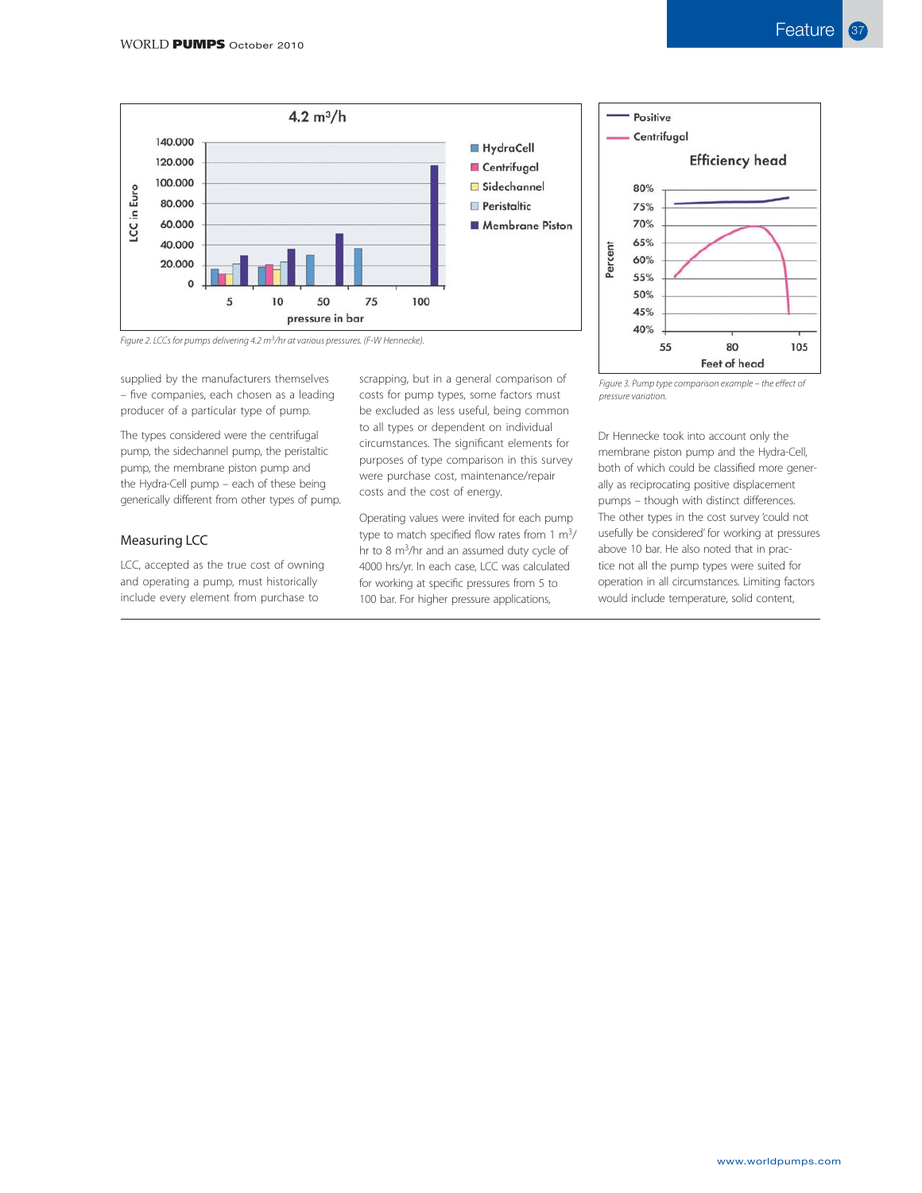



Figure 2. LCCs for pumps delivering 4.2 m3/hr at various pressures. (F-W Hennecke).

supplied by the manufacturers themselves – five companies, each chosen as a leading producer of a particular type of pump.

The types considered were the centrifugal pump, the sidechannel pump, the peristaltic pump, the membrane piston pump and the Hydra-Cell pump – each of these being generically different from other types of pump.

## Measuring LCC

LCC, accepted as the true cost of owning and operating a pump, must historically include every element from purchase to

scrapping, but in a general comparison of costs for pump types, some factors must be excluded as less useful, being common to all types or dependent on individual circumstances. The significant elements for purposes of type comparison in this survey were purchase cost, maintenance/repair costs and the cost of energy.

Operating values were invited for each pump type to match specified flow rates from 1 m<sup>3</sup>/ hr to 8 m<sup>3</sup>/hr and an assumed duty cycle of 4000 hrs/yr. In each case, LCC was calculated for working at specific pressures from 5 to 100 bar. For higher pressure applications,

Figure 3. Pump type comparison example – the effect of pressure variation.

Dr Hennecke took into account only the membrane piston pump and the Hydra-Cell, both of which could be classified more generally as reciprocating positive displacement pumps – though with distinct differences. The other types in the cost survey 'could not usefully be considered' for working at pressures above 10 bar. He also noted that in practice not all the pump types were suited for operation in all circumstances. Limiting factors would include temperature, solid content,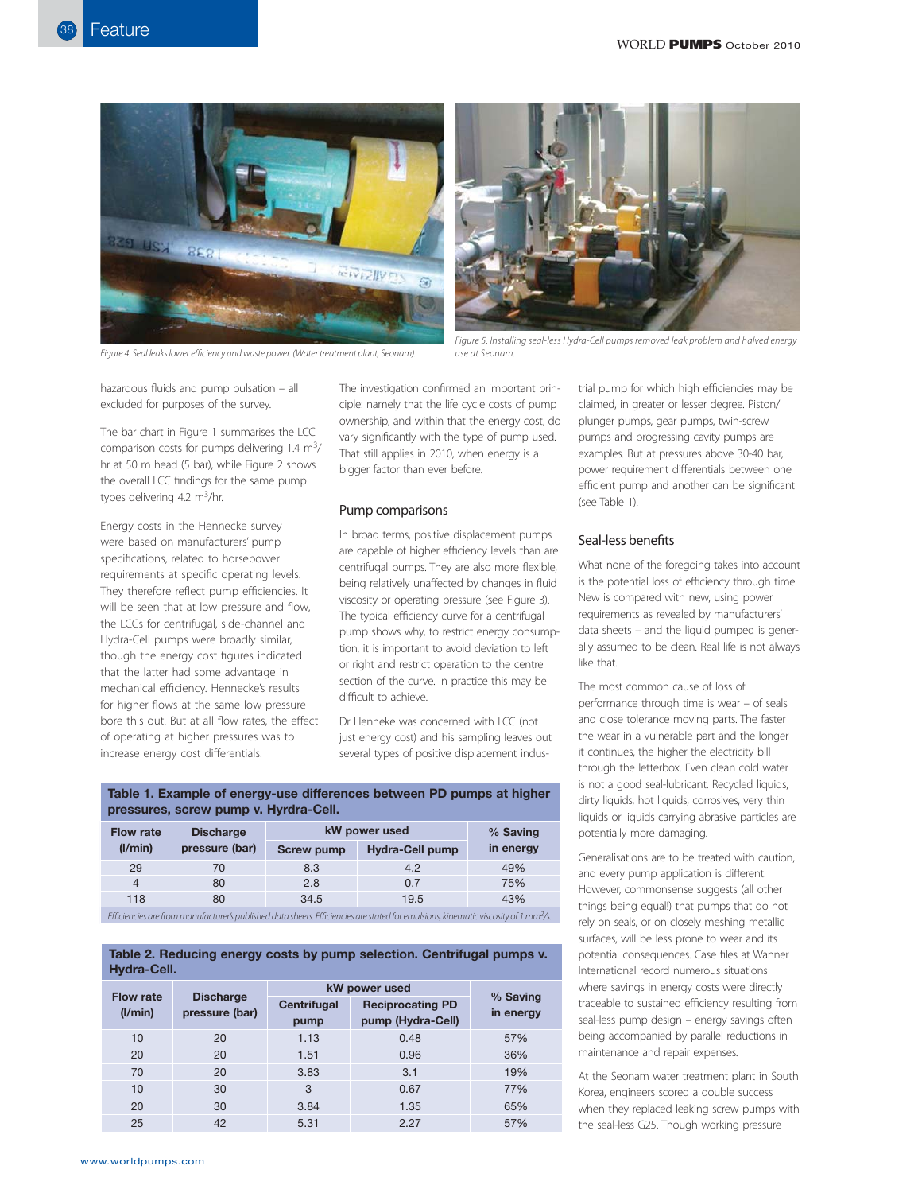

Figure 4. Seal leaks lower efficiency and waste power. (Water treatment plant, Seonam).



Figure 5. Installing seal-less Hydra-Cell pumps removed leak problem and halved energy use at Seonam.

hazardous fluids and pump pulsation – all excluded for purposes of the survey.

The bar chart in Figure 1 summarises the LCC comparison costs for pumps delivering  $1.4 \text{ m}^3$ / hr at 50 m head (5 bar), while Figure 2 shows the overall LCC findings for the same pump types delivering 4.2  $m^3/hr$ .

Energy costs in the Hennecke survey were based on manufacturers' pump specifications, related to horsepower requirements at specific operating levels. They therefore reflect pump efficiencies. It will be seen that at low pressure and flow, the LCCs for centrifugal, side-channel and Hydra-Cell pumps were broadly similar, though the energy cost figures indicated that the latter had some advantage in mechanical efficiency. Hennecke's results for higher flows at the same low pressure bore this out. But at all flow rates, the effect of operating at higher pressures was to increase energy cost differentials.

The investigation confirmed an important principle: namely that the life cycle costs of pump ownership, and within that the energy cost, do vary significantly with the type of pump used. That still applies in 2010, when energy is a bigger factor than ever before.

#### Pump comparisons

In broad terms, positive displacement pumps are capable of higher efficiency levels than are centrifugal pumps. They are also more flexible, being relatively unaffected by changes in fluid viscosity or operating pressure (see Figure 3). The typical efficiency curve for a centrifugal pump shows why, to restrict energy consumption, it is important to avoid deviation to left or right and restrict operation to the centre section of the curve. In practice this may be difficult to achieve.

Dr Henneke was concerned with LCC (not just energy cost) and his sampling leaves out several types of positive displacement indus-

**Table 1. Example of energy-use differences between PD pumps at higher pressures, screw pump v. Hyrdra-Cell.**

| <b>Flow rate</b>                                                                                                                                | <b>Discharge</b> | kW power used     |                        | % Saving  |  |  |
|-------------------------------------------------------------------------------------------------------------------------------------------------|------------------|-------------------|------------------------|-----------|--|--|
| (I/min)                                                                                                                                         | pressure (bar)   | <b>Screw pump</b> | <b>Hydra-Cell pump</b> | in energy |  |  |
| 29                                                                                                                                              | 70               | 8.3               | 4.2                    | 49%       |  |  |
| 4                                                                                                                                               | 80               | 2.8               | 0.7                    | 75%       |  |  |
| 118                                                                                                                                             | 80               | 34.5              | 19.5                   | 43%       |  |  |
| Efficiencies are from manufacturer's published data sheets. Efficiencies are stated for emulsions, kinematic viscosity of 1 mm <sup>2</sup> /s. |                  |                   |                        |           |  |  |

# **Table 2. Reducing energy costs by pump selection. Centrifugal pumps v. Hydra-Cell.**

| <b>Flow rate</b><br>(I/min) | <b>Discharge</b><br>pressure (bar) | kW power used              |                                              |                       |
|-----------------------------|------------------------------------|----------------------------|----------------------------------------------|-----------------------|
|                             |                                    | <b>Centrifugal</b><br>pump | <b>Reciprocating PD</b><br>pump (Hydra-Cell) | % Saving<br>in energy |
| 10                          | 20                                 | 1.13                       | 0.48                                         | 57%                   |
| 20                          | 20                                 | 1.51                       | 0.96                                         | 36%                   |
| 70                          | 20                                 | 3.83                       | 3.1                                          | 19%                   |
| 10                          | 30                                 | 3                          | 0.67                                         | 77%                   |
| 20                          | 30                                 | 3.84                       | 1.35                                         | 65%                   |
| 25                          | 42                                 | 5.31                       | 2.27                                         | 57%                   |

trial pump for which high efficiencies may be claimed, in greater or lesser degree. Piston/ plunger pumps, gear pumps, twin-screw pumps and progressing cavity pumps are examples. But at pressures above 30-40 bar, power requirement differentials between one efficient pump and another can be significant (see Table 1).

#### Seal-less benefits

What none of the foregoing takes into account is the potential loss of efficiency through time. New is compared with new, using power requirements as revealed by manufacturers' data sheets – and the liquid pumped is generally assumed to be clean. Real life is not always like that.

The most common cause of loss of performance through time is wear – of seals and close tolerance moving parts. The faster the wear in a vulnerable part and the longer it continues, the higher the electricity bill through the letterbox. Even clean cold water is not a good seal-lubricant. Recycled liquids, dirty liquids, hot liquids, corrosives, very thin liquids or liquids carrying abrasive particles are potentially more damaging.

Generalisations are to be treated with caution, and every pump application is different. However, commonsense suggests (all other things being equal!) that pumps that do not rely on seals, or on closely meshing metallic surfaces, will be less prone to wear and its potential consequences. Case files at Wanner International record numerous situations where savings in energy costs were directly traceable to sustained efficiency resulting from seal-less pump design – energy savings often being accompanied by parallel reductions in maintenance and repair expenses.

At the Seonam water treatment plant in South Korea, engineers scored a double success when they replaced leaking screw pumps with the seal-less G25. Though working pressure